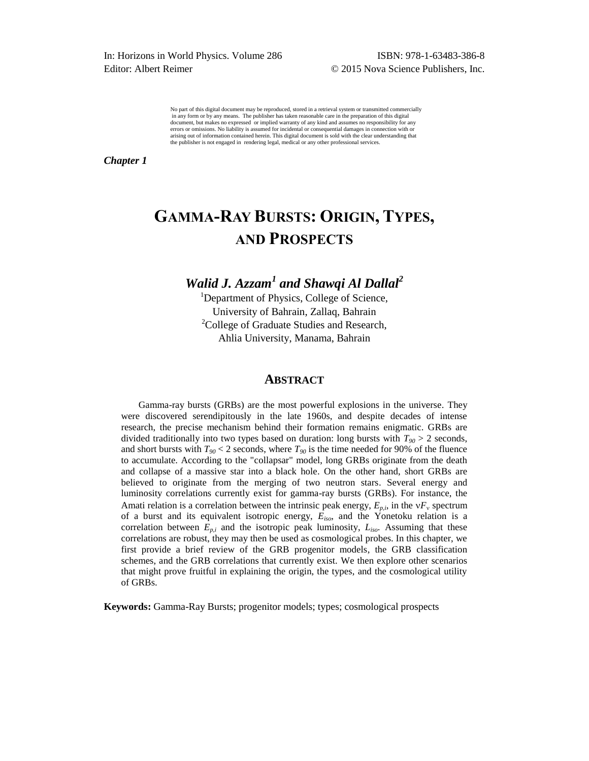In: Horizons in World Physics. Volume 286 ISBN: 978-1-63483-386-8 Editor: Albert Reimer **C** 2015 Nova Science Publishers, Inc.

No part of this digital document may be reproduced, stored in a retrieval system or transmitted commercially in any form or by any means. The publisher has taken reasonable care in the preparation of this digital document, but makes no expressed or implied warranty of any kind and assumes no responsibility for any errors or omissions. No liability is assumed for incidental or consequential damages in connection with or arising out of information contained herein. This digital document is sold with the clear understanding that the publisher is not engaged in rendering legal, medical or any other professional services.

*Chapter 1* 

# **GAMMA-RAY BURSTS: ORIGIN, TYPES, AND PROSPECTS**

# *Walid J. Azzam<sup>1</sup> and Shawqi Al Dallal<sup>2</sup>*

<sup>1</sup>Department of Physics, College of Science, University of Bahrain, Zallaq, Bahrain <sup>2</sup>College of Graduate Studies and Research, Ahlia University, Manama, Bahrain

#### **ABSTRACT**

Gamma-ray bursts (GRBs) are the most powerful explosions in the universe. They were discovered serendipitously in the late 1960s, and despite decades of intense research, the precise mechanism behind their formation remains enigmatic. GRBs are divided traditionally into two types based on duration: long bursts with  $T_{90} > 2$  seconds, and short bursts with  $T_{90}$  < 2 seconds, where  $T_{90}$  is the time needed for 90% of the fluence to accumulate. According to the "collapsar" model, long GRBs originate from the death and collapse of a massive star into a black hole. On the other hand, short GRBs are believed to originate from the merging of two neutron stars. Several energy and luminosity correlations currently exist for gamma-ray bursts (GRBs). For instance, the Amati relation is a correlation between the intrinsic peak energy,  $E_{p,i}$ , in the  $\vee F_v$  spectrum of a burst and its equivalent isotropic energy, *Eiso*, and the Yonetoku relation is a correlation between  $E_{p,i}$  and the isotropic peak luminosity,  $L_{iso}$ . Assuming that these correlations are robust, they may then be used as cosmological probes. In this chapter, we first provide a brief review of the GRB progenitor models, the GRB classification schemes, and the GRB correlations that currently exist. We then explore other scenarios that might prove fruitful in explaining the origin, the types, and the cosmological utility of GRBs.

**Keywords:** Gamma-Ray Bursts; progenitor models; types; cosmological prospects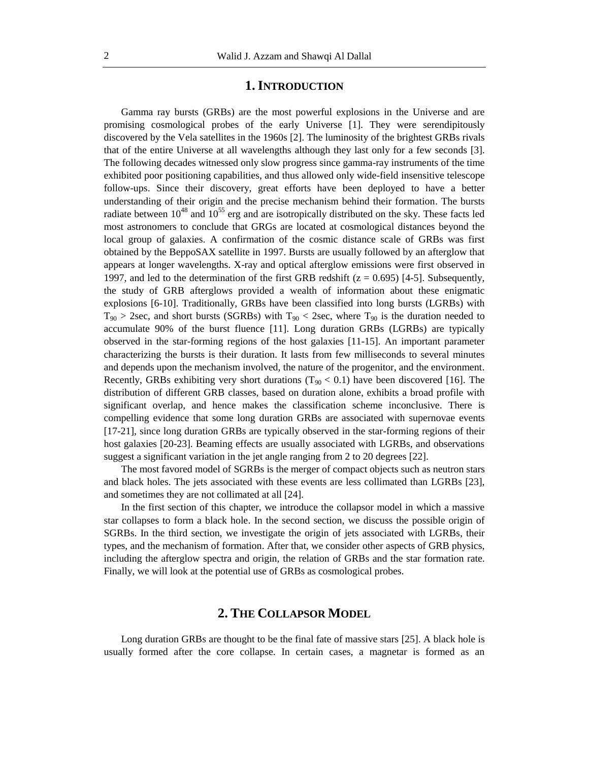#### **1.INTRODUCTION**

Gamma ray bursts (GRBs) are the most powerful explosions in the Universe and are promising cosmological probes of the early Universe [1]. They were serendipitously discovered by the Vela satellites in the 1960s [2]. The luminosity of the brightest GRBs rivals that of the entire Universe at all wavelengths although they last only for a few seconds [3]. The following decades witnessed only slow progress since gamma-ray instruments of the time exhibited poor positioning capabilities, and thus allowed only wide-field insensitive telescope follow-ups. Since their discovery, great efforts have been deployed to have a better understanding of their origin and the precise mechanism behind their formation. The bursts radiate between  $10^{48}$  and  $10^{55}$  erg and are isotropically distributed on the sky. These facts led most astronomers to conclude that GRGs are located at cosmological distances beyond the local group of galaxies. A confirmation of the cosmic distance scale of GRBs was first obtained by the BeppoSAX satellite in 1997. Bursts are usually followed by an afterglow that appears at longer wavelengths. X-ray and optical afterglow emissions were first observed in 1997, and led to the determination of the first GRB redshift  $(z = 0.695)$  [4-5]. Subsequently, the study of GRB afterglows provided a wealth of information about these enigmatic explosions [6-10]. Traditionally, GRBs have been classified into long bursts (LGRBs) with  $T_{90}$  > 2sec, and short bursts (SGRBs) with  $T_{90}$  < 2sec, where  $T_{90}$  is the duration needed to accumulate 90% of the burst fluence [11]. Long duration GRBs (LGRBs) are typically observed in the star-forming regions of the host galaxies [11-15]. An important parameter characterizing the bursts is their duration. It lasts from few milliseconds to several minutes and depends upon the mechanism involved, the nature of the progenitor, and the environment. Recently, GRBs exhibiting very short durations ( $T_{90}$  < 0.1) have been discovered [16]. The distribution of different GRB classes, based on duration alone, exhibits a broad profile with significant overlap, and hence makes the classification scheme inconclusive. There is compelling evidence that some long duration GRBs are associated with supernovae events [17-21], since long duration GRBs are typically observed in the star-forming regions of their host galaxies [20-23]. Beaming effects are usually associated with LGRBs, and observations suggest a significant variation in the jet angle ranging from 2 to 20 degrees [22].

The most favored model of SGRBs is the merger of compact objects such as neutron stars and black holes. The jets associated with these events are less collimated than LGRBs [23], and sometimes they are not collimated at all [24].

In the first section of this chapter, we introduce the collapsor model in which a massive star collapses to form a black hole. In the second section, we discuss the possible origin of SGRBs. In the third section, we investigate the origin of jets associated with LGRBs, their types, and the mechanism of formation. After that, we consider other aspects of GRB physics, including the afterglow spectra and origin, the relation of GRBs and the star formation rate. Finally, we will look at the potential use of GRBs as cosmological probes.

#### **2. THE COLLAPSOR MODEL**

Long duration GRBs are thought to be the final fate of massive stars [25]. A black hole is usually formed after the core collapse. In certain cases, a magnetar is formed as an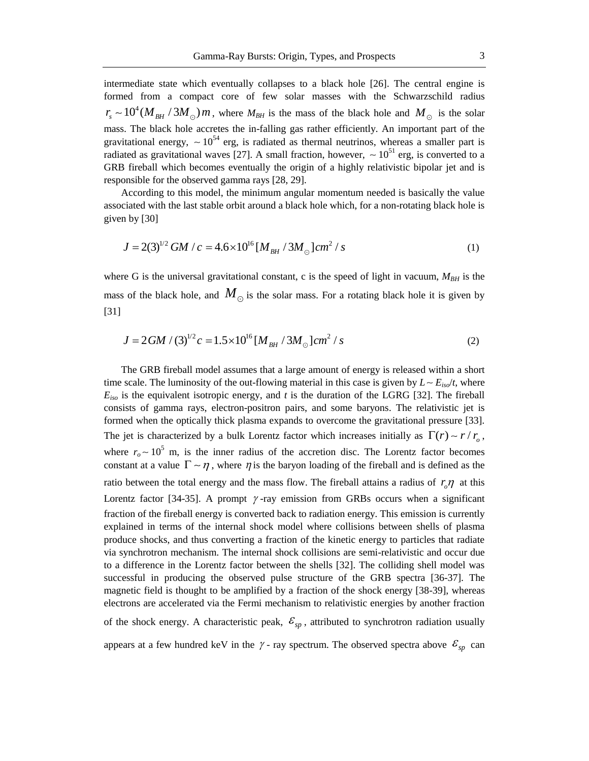intermediate state which eventually collapses to a black hole [26]. The central engine is formed from a compact core of few solar masses with the Schwarzschild radius  $r_s \sim 10^4 (M_{BH}/3M_{\odot}) m$ , where  $M_{BH}$  is the mass of the black hole and  $M_{\odot}$  is the solar mass. The black hole accretes the in-falling gas rather efficiently. An important part of the gravitational energy,  $\sim 10^{54}$  erg, is radiated as thermal neutrinos, whereas a smaller part is radiated as gravitational waves [27]. A small fraction, however,  $\sim 10^{51}$  erg, is converted to a GRB fireball which becomes eventually the origin of a highly relativistic bipolar jet and is responsible for the observed gamma rays [28, 29].

According to this model, the minimum angular momentum needed is basically the value associated with the last stable orbit around a black hole which, for a non-rotating black hole is given by [30]

$$
J = 2(3)^{1/2} GM / c = 4.6 \times 10^{16} [M_{BH} / 3M_{\odot}] cm^{2} / s
$$
 (1)

where G is the universal gravitational constant, c is the speed of light in vacuum,  $M_{BH}$  is the mass of the black hole, and  $M_{\odot}$  is the solar mass. For a rotating black hole it is given by [31]

$$
J = 2GM / (3)^{1/2}c = 1.5 \times 10^{16} \left[ M_{BH} / 3M_{\odot} \right] cm^2 / s
$$
 (2)

The GRB fireball model assumes that a large amount of energy is released within a short time scale. The luminosity of the out-flowing material in this case is given by  $L \sim E_{iso}/t$ , where  $E_{iso}$  is the equivalent isotropic energy, and  $t$  is the duration of the LGRG [32]. The fireball consists of gamma rays, electron-positron pairs, and some baryons. The relativistic jet is formed when the optically thick plasma expands to overcome the gravitational pressure [33]. The jet is characterized by a bulk Lorentz factor which increases initially as  $\Gamma(r) \sim r / r_o$ , where  $r_o \sim 10^5$  m, is the inner radius of the accretion disc. The Lorentz factor becomes constant at a value  $\Gamma \sim \eta$ , where  $\eta$  is the baryon loading of the fireball and is defined as the ratio between the total energy and the mass flow. The fireball attains a radius of  $r_o \eta$  at this Lorentz factor [34-35]. A prompt  $\gamma$ -ray emission from GRBs occurs when a significant fraction of the fireball energy is converted back to radiation energy. This emission is currently explained in terms of the internal shock model where collisions between shells of plasma produce shocks, and thus converting a fraction of the kinetic energy to particles that radiate via synchrotron mechanism. The internal shock collisions are semi-relativistic and occur due to a difference in the Lorentz factor between the shells [32]. The colliding shell model was successful in producing the observed pulse structure of the GRB spectra [36-37]. The magnetic field is thought to be amplified by a fraction of the shock energy [38-39], whereas electrons are accelerated via the Fermi mechanism to relativistic energies by another fraction of the shock energy. A characteristic peak,  $\mathcal{E}_{sp}$ , attributed to synchrotron radiation usually

appears at a few hundred keV in the  $\gamma$ -ray spectrum. The observed spectra above  $\mathcal{E}_{sp}$  can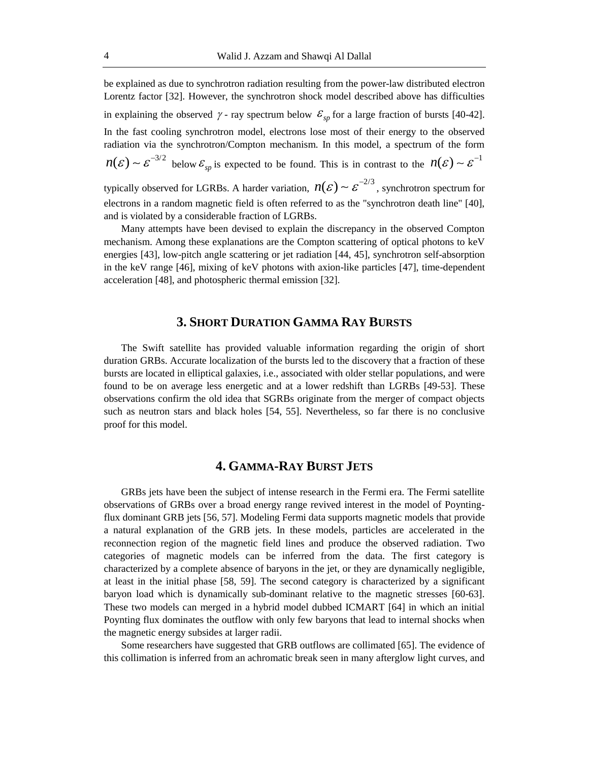be explained as due to synchrotron radiation resulting from the power-law distributed electron Lorentz factor [32]. However, the synchrotron shock model described above has difficulties in explaining the observed  $\gamma$ -ray spectrum below  $\mathcal{E}_{sp}$  for a large fraction of bursts [40-42]. In the fast cooling synchrotron model, electrons lose most of their energy to the observed radiation via the synchrotron/Compton mechanism. In this model, a spectrum of the form  $n(\varepsilon) \sim \varepsilon^{-3/2}$  below  $\varepsilon_{sp}$  is expected to be found. This is in contrast to the  $n(\varepsilon) \sim \varepsilon^{-1}$ 

typically observed for LGRBs. A harder variation,  $n(\mathcal{E}) \sim \mathcal{E}^{-2/3}$ , synchrotron spectrum for electrons in a random magnetic field is often referred to as the "synchrotron death line" [40], and is violated by a considerable fraction of LGRBs.

Many attempts have been devised to explain the discrepancy in the observed Compton mechanism. Among these explanations are the Compton scattering of optical photons to keV energies [43], low-pitch angle scattering or jet radiation [44, 45], synchrotron self-absorption in the keV range [46], mixing of keV photons with axion-like particles [47], time-dependent acceleration [48], and photospheric thermal emission [32].

#### **3. SHORT DURATION GAMMA RAY BURSTS**

The Swift satellite has provided valuable information regarding the origin of short duration GRBs. Accurate localization of the bursts led to the discovery that a fraction of these bursts are located in elliptical galaxies, i.e., associated with older stellar populations, and were found to be on average less energetic and at a lower redshift than LGRBs [49-53]. These observations confirm the old idea that SGRBs originate from the merger of compact objects such as neutron stars and black holes [54, 55]. Nevertheless, so far there is no conclusive proof for this model.

### **4. GAMMA-RAY BURST JETS**

GRBs jets have been the subject of intense research in the Fermi era. The Fermi satellite observations of GRBs over a broad energy range revived interest in the model of Poyntingflux dominant GRB jets [56, 57]. Modeling Fermi data supports magnetic models that provide a natural explanation of the GRB jets. In these models, particles are accelerated in the reconnection region of the magnetic field lines and produce the observed radiation. Two categories of magnetic models can be inferred from the data. The first category is characterized by a complete absence of baryons in the jet, or they are dynamically negligible, at least in the initial phase [58, 59]. The second category is characterized by a significant baryon load which is dynamically sub-dominant relative to the magnetic stresses [60-63]. These two models can merged in a hybrid model dubbed ICMART [64] in which an initial Poynting flux dominates the outflow with only few baryons that lead to internal shocks when the magnetic energy subsides at larger radii.

Some researchers have suggested that GRB outflows are collimated [65]. The evidence of this collimation is inferred from an achromatic break seen in many afterglow light curves, and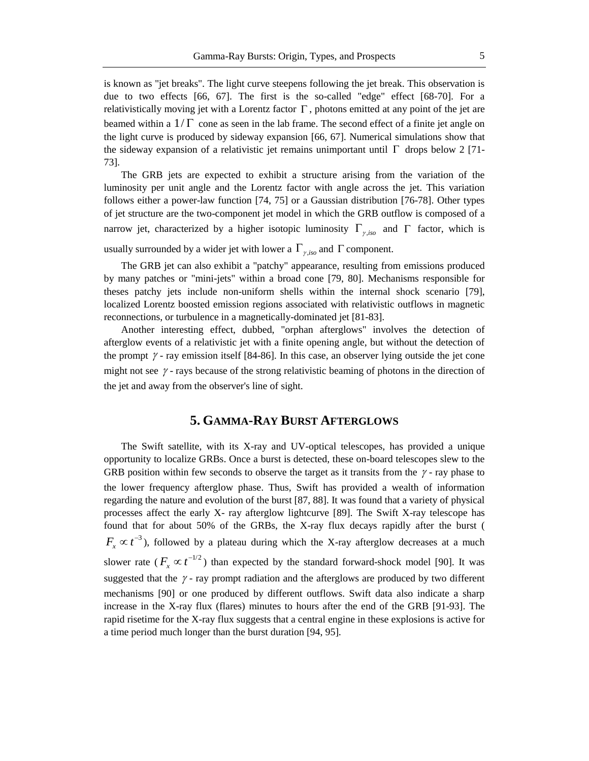is known as "jet breaks". The light curve steepens following the jet break. This observation is due to two effects [66, 67]. The first is the so-called "edge" effect [68-70]. For a relativistically moving jet with a Lorentz factor  $\Gamma$ , photons emitted at any point of the jet are beamed within a  $1/\Gamma$  cone as seen in the lab frame. The second effect of a finite jet angle on the light curve is produced by sideway expansion [66, 67]. Numerical simulations show that the sideway expansion of a relativistic jet remains unimportant until  $\Gamma$  drops below 2 [71-73].

The GRB jets are expected to exhibit a structure arising from the variation of the luminosity per unit angle and the Lorentz factor with angle across the jet. This variation follows either a power-law function [74, 75] or a Gaussian distribution [76-78]. Other types of jet structure are the two-component jet model in which the GRB outflow is composed of a narrow jet, characterized by a higher isotopic luminosity  $\Gamma_{\gamma,iso}$  and  $\Gamma$  factor, which is

usually surrounded by a wider jet with lower a  $\Gamma_{\gamma,iso}$  and  $\Gamma$  component.

The GRB jet can also exhibit a "patchy" appearance, resulting from emissions produced by many patches or "mini-jets" within a broad cone [79, 80]. Mechanisms responsible for theses patchy jets include non-uniform shells within the internal shock scenario [79], localized Lorentz boosted emission regions associated with relativistic outflows in magnetic reconnections, or turbulence in a magnetically-dominated jet [81-83].

Another interesting effect, dubbed, "orphan afterglows" involves the detection of afterglow events of a relativistic jet with a finite opening angle, but without the detection of the prompt  $\gamma$  - ray emission itself [84-86]. In this case, an observer lying outside the jet cone might not see  $\gamma$  - rays because of the strong relativistic beaming of photons in the direction of the jet and away from the observer's line of sight.

#### **5. GAMMA-RAY BURST AFTERGLOWS**

The Swift satellite, with its X-ray and UV-optical telescopes, has provided a unique opportunity to localize GRBs. Once a burst is detected, these on-board telescopes slew to the GRB position within few seconds to observe the target as it transits from the  $\gamma$  - ray phase to the lower frequency afterglow phase. Thus, Swift has provided a wealth of information regarding the nature and evolution of the burst [87, 88]. It was found that a variety of physical processes affect the early X- ray afterglow lightcurve [89]. The Swift X-ray telescope has found that for about 50% of the GRBs, the X-ray flux decays rapidly after the burst (  $F_x \propto t^{-3}$ ), followed by a plateau during which the X-ray afterglow decreases at a much slower rate ( $F_x \propto t^{-1/2}$ ) than expected by the standard forward-shock model [90]. It was suggested that the  $\gamma$ -ray prompt radiation and the afterglows are produced by two different mechanisms [90] or one produced by different outflows. Swift data also indicate a sharp increase in the X-ray flux (flares) minutes to hours after the end of the GRB [91-93]. The rapid risetime for the X-ray flux suggests that a central engine in these explosions is active for a time period much longer than the burst duration [94, 95].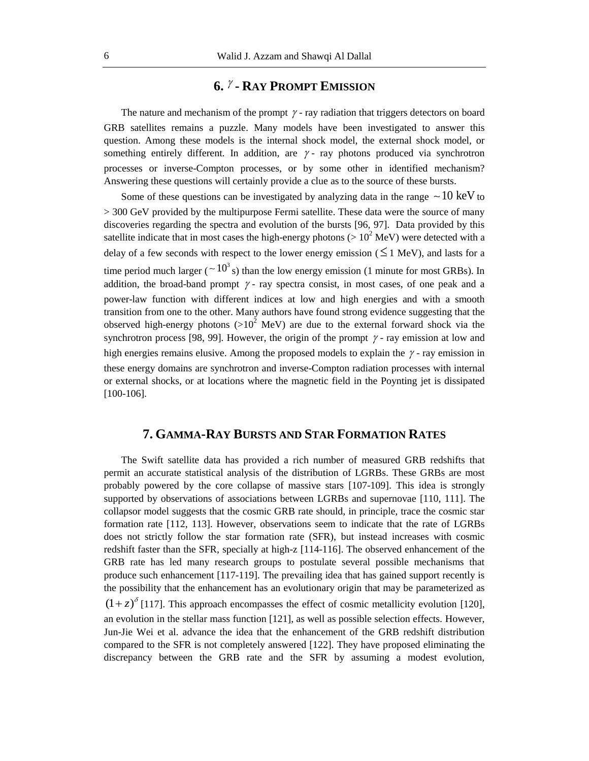## **6. - RAY PROMPT EMISSION**

The nature and mechanism of the prompt  $\gamma$  - ray radiation that triggers detectors on board GRB satellites remains a puzzle. Many models have been investigated to answer this question. Among these models is the internal shock model, the external shock model, or something entirely different. In addition, are  $\gamma$ -ray photons produced via synchrotron processes or inverse-Compton processes, or by some other in identified mechanism? Answering these questions will certainly provide a clue as to the source of these bursts.

Some of these questions can be investigated by analyzing data in the range  $\sim$  10 keV to > 300 GeV provided by the multipurpose Fermi satellite. These data were the source of many discoveries regarding the spectra and evolution of the bursts [96, 97]. Data provided by this satellite indicate that in most cases the high-energy photons ( $> 10^2$  MeV) were detected with a delay of a few seconds with respect to the lower energy emission ( $\leq$  1 MeV), and lasts for a time period much larger ( $\sim 10^3$  s) than the low energy emission (1 minute for most GRBs). In addition, the broad-band prompt  $\gamma$ -ray spectra consist, in most cases, of one peak and a power-law function with different indices at low and high energies and with a smooth transition from one to the other. Many authors have found strong evidence suggesting that the observed high-energy photons ( $>10^2$  MeV) are due to the external forward shock via the synchrotron process [98, 99]. However, the origin of the prompt  $\gamma$  - ray emission at low and high energies remains elusive. Among the proposed models to explain the  $\gamma$ -ray emission in these energy domains are synchrotron and inverse-Compton radiation processes with internal or external shocks, or at locations where the magnetic field in the Poynting jet is dissipated [100-106].

### **7. GAMMA-RAY BURSTS AND STAR FORMATION RATES**

The Swift satellite data has provided a rich number of measured GRB redshifts that permit an accurate statistical analysis of the distribution of LGRBs. These GRBs are most probably powered by the core collapse of massive stars [107-109]. This idea is strongly supported by observations of associations between LGRBs and supernovae [110, 111]. The collapsor model suggests that the cosmic GRB rate should, in principle, trace the cosmic star formation rate [112, 113]. However, observations seem to indicate that the rate of LGRBs does not strictly follow the star formation rate (SFR), but instead increases with cosmic redshift faster than the SFR, specially at high-z [114-116]. The observed enhancement of the GRB rate has led many research groups to postulate several possible mechanisms that produce such enhancement [117-119]. The prevailing idea that has gained support recently is the possibility that the enhancement has an evolutionary origin that may be parameterized as  $(1+z)^{\delta}$  [117]. This approach encompasses the effect of cosmic metallicity evolution [120], an evolution in the stellar mass function [121], as well as possible selection effects. However, Jun-Jie Wei et al. advance the idea that the enhancement of the GRB redshift distribution compared to the SFR is not completely answered [122]. They have proposed eliminating the discrepancy between the GRB rate and the SFR by assuming a modest evolution,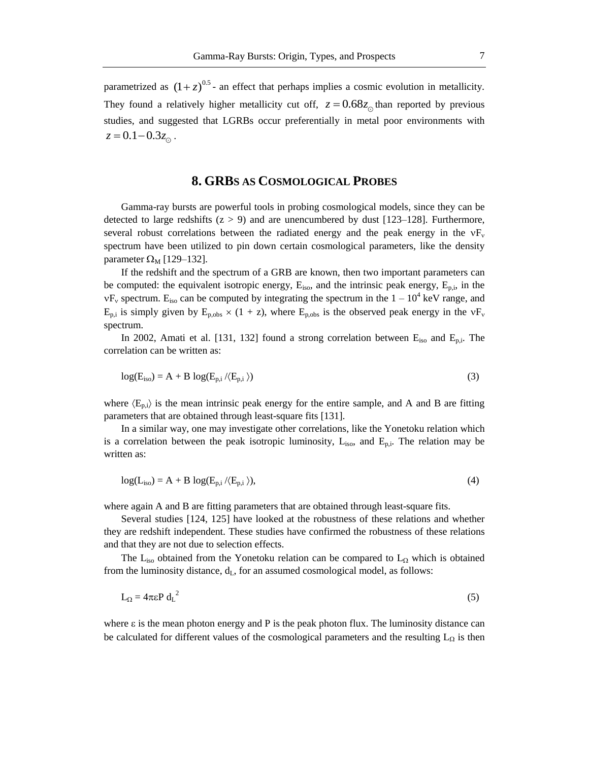parametrized as  $(1+z)^{0.5}$ - an effect that perhaps implies a cosmic evolution in metallicity. They found a relatively higher metallicity cut off,  $z = 0.68z_{0}$  than reported by previous studies, and suggested that LGRBs occur preferentially in metal poor environments with  $z = 0.1 - 0.3 z_{\odot}$ .

#### **8. GRBS AS COSMOLOGICAL PROBES**

Gamma-ray bursts are powerful tools in probing cosmological models, since they can be detected to large redshifts  $(z > 9)$  and are unencumbered by dust [123–128]. Furthermore, several robust correlations between the radiated energy and the peak energy in the  $vF_v$ spectrum have been utilized to pin down certain cosmological parameters, like the density parameter  $\Omega_{\rm M}$  [129–132].

If the redshift and the spectrum of a GRB are known, then two important parameters can be computed: the equivalent isotropic energy,  $E_{iso}$ , and the intrinsic peak energy,  $E_{p,i}$ , in the  $vF_v$  spectrum. E<sub>iso</sub> can be computed by integrating the spectrum in the  $1 - 10^4$  keV range, and  $E_{p,i}$  is simply given by  $E_{p,obs} \times (1 + z)$ , where  $E_{p,obs}$  is the observed peak energy in the  $vF_v$ spectrum.

In 2002, Amati et al. [131, 132] found a strong correlation between  $E_{iso}$  and  $E_{p,i}$ . The correlation can be written as:

$$
log(E_{iso}) = A + B log(E_{p,i} / \langle E_{p,i} \rangle)
$$
\n(3)

where  $\langle E_{p,i} \rangle$  is the mean intrinsic peak energy for the entire sample, and A and B are fitting parameters that are obtained through least-square fits [131].

In a similar way, one may investigate other correlations, like the Yonetoku relation which is a correlation between the peak isotropic luminosity,  $L_{iso}$ , and  $E_{p,i}$ . The relation may be written as:

$$
log(L_{iso}) = A + B log(E_{p,i} / \langle E_{p,i} \rangle),
$$
\n(4)

where again A and B are fitting parameters that are obtained through least-square fits.

Several studies [124, 125] have looked at the robustness of these relations and whether they are redshift independent. These studies have confirmed the robustness of these relations and that they are not due to selection effects.

The L<sub>iso</sub> obtained from the Yonetoku relation can be compared to L<sub>2</sub> which is obtained from the luminosity distance,  $d_L$ , for an assumed cosmological model, as follows:

$$
L_{\Omega} = 4\pi\varepsilon P d_{\text{L}}^2 \tag{5}
$$

where  $\varepsilon$  is the mean photon energy and P is the peak photon flux. The luminosity distance can be calculated for different values of the cosmological parameters and the resulting  $L_{\Omega}$  is then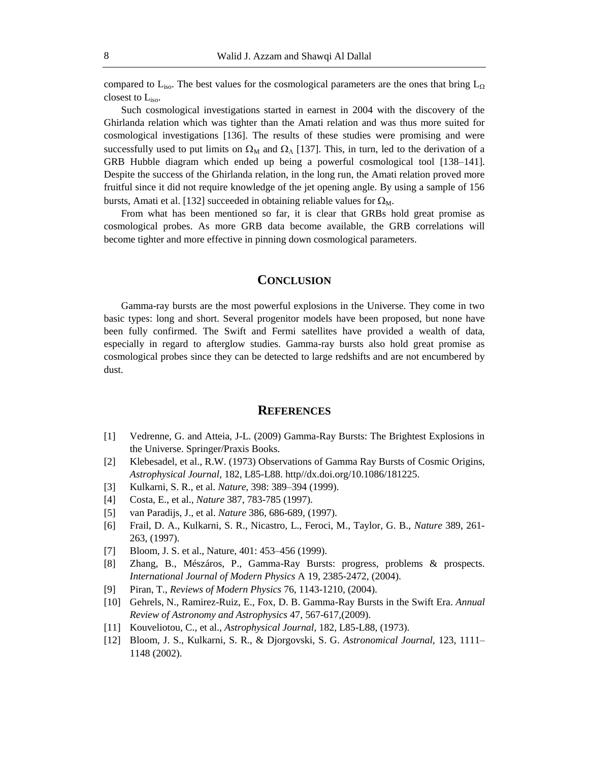compared to L<sub>iso</sub>. The best values for the cosmological parameters are the ones that bring  $L_{\Omega}$ closest to  $L<sub>iso</sub>$ .

Such cosmological investigations started in earnest in 2004 with the discovery of the Ghirlanda relation which was tighter than the Amati relation and was thus more suited for cosmological investigations [136]. The results of these studies were promising and were successfully used to put limits on  $\Omega_M$  and  $\Omega_{\Lambda}$  [137]. This, in turn, led to the derivation of a GRB Hubble diagram which ended up being a powerful cosmological tool [138–141]. Despite the success of the Ghirlanda relation, in the long run, the Amati relation proved more fruitful since it did not require knowledge of the jet opening angle. By using a sample of 156 bursts, Amati et al. [132] succeeded in obtaining reliable values for  $\Omega_M$ .

From what has been mentioned so far, it is clear that GRBs hold great promise as cosmological probes. As more GRB data become available, the GRB correlations will become tighter and more effective in pinning down cosmological parameters.

#### **CONCLUSION**

Gamma-ray bursts are the most powerful explosions in the Universe. They come in two basic types: long and short. Several progenitor models have been proposed, but none have been fully confirmed. The Swift and Fermi satellites have provided a wealth of data, especially in regard to afterglow studies. Gamma-ray bursts also hold great promise as cosmological probes since they can be detected to large redshifts and are not encumbered by dust.

#### **REFERENCES**

- [1] Vedrenne, G. and Atteia, J-L. (2009) Gamma-Ray Bursts: The Brightest Explosions in the Universe. Springer/Praxis Books.
- [2] Klebesadel, et al., R.W. (1973) Observations of Gamma Ray Bursts of Cosmic Origins, *Astrophysical Journal,* 182, L85-L88. http//dx.doi.org/10.1086/181225.
- [3] Kulkarni, S. R., et al. *Nature,* 398: 389–394 (1999).
- [4] Costa, E., et al., *Nature* 387, 783-785 (1997).
- [5] van Paradijs, J., et al. *Nature* 386, 686-689, (1997).
- [6] Frail, D. A., Kulkarni, S. R., Nicastro, L., Feroci, M., Taylor, G. B., *Nature* 389, 261- 263, (1997).
- [7] Bloom, J. S. et al., Nature, 401: 453–456 (1999).
- [8] Zhang, B., Mészáros, P., Gamma-Ray Bursts: progress, problems & prospects. *International Journal of Modern Physics* A 19, 2385-2472, (2004).
- [9] Piran, T., *Reviews of Modern Physics* 76, 1143-1210, (2004).
- [10] Gehrels, N., Ramirez-Ruiz, E., Fox, D. B. Gamma-Ray Bursts in the Swift Era. *Annual Review of Astronomy and Astrophysics* 47, 567-617,(2009).
- [11] Kouveliotou, C., et al., *Astrophysical Journal,* 182, L85-L88, (1973).
- [12] Bloom, J. S., Kulkarni, S. R., & Djorgovski, S. G. *Astronomical Journal,* 123, 1111– 1148 (2002).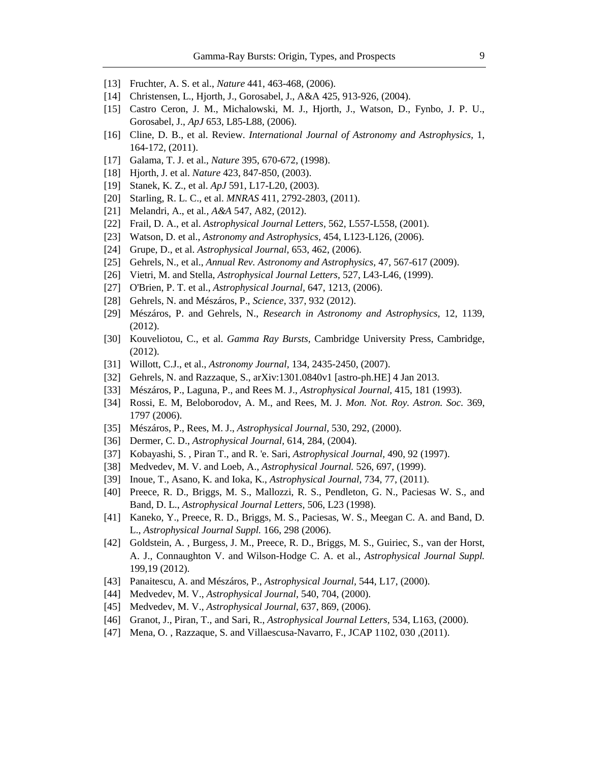- [13] Fruchter, A. S. et al., *Nature* 441, 463-468, (2006).
- [14] Christensen, L., Hjorth, J., Gorosabel, J., A&A 425, 913-926, (2004).
- [15] Castro Ceron, J. M., Michalowski, M. J., Hjorth, J., Watson, D., Fynbo, J. P. U., Gorosabel, J., *ApJ* 653, L85-L88, (2006).
- [16] Cline, D. B., et al. Review. *International Journal of Astronomy and Astrophysics,* 1, 164-172, (2011).
- [17] Galama, T. J. et al., *Nature* 395, 670-672, (1998).
- [18] Hjorth, J. et al. *Nature* 423, 847-850, (2003).
- [19] Stanek, K. Z., et al. *ApJ* 591, L17-L20, (2003).
- [20] Starling, R. L. C., et al. *MNRAS* 411, 2792-2803, (2011).
- [21] Melandri, A., et al*., A&A* 547, A82, (2012).
- [22] Frail, D. A., et al. *Astrophysical Journal Letters,* 562, L557-L558, (2001).
- [23] Watson, D. et al., *Astronomy and Astrophysics,* 454, L123-L126, (2006).
- [24] Grupe, D., et al. *Astrophysical Journal,* 653, 462, (2006).
- [25] Gehrels, N., et al., *Annual Rev. Astronomy and Astrophysics,* 47, 567-617 (2009).
- [26] Vietri, M. and Stella, *Astrophysical Journal Letters,* 527, L43-L46, (1999).
- [27] O'Brien, P. T. et al., *Astrophysical Journal,* 647, 1213, (2006).
- [28] Gehrels, N. and Mészáros, P., *Science,* 337, 932 (2012).
- [29] Mészáros, P. and Gehrels, N., *Research in Astronomy and Astrophysics,* 12, 1139, (2012).
- [30] Kouveliotou, C., et al. *Gamma Ray Bursts,* Cambridge University Press, Cambridge, (2012).
- [31] Willott, C.J., et al., *Astronomy Journal,* 134, 2435-2450, (2007).
- [32] Gehrels, N. and Razzaque, S., arXiv:1301.0840v1 [astro-ph.HE] 4 Jan 2013.
- [33] Mészáros, P., Laguna, P., and Rees M. J., *Astrophysical Journal,* 415, 181 (1993).
- [34] Rossi, E. M, Beloborodov, A. M., and Rees, M. J. *Mon. Not. Roy. Astron. Soc.* 369, 1797 (2006).
- [35] Mészáros, P., Rees, M. J., *Astrophysical Journal,* 530, 292, (2000).
- [36] Dermer, C. D., *Astrophysical Journal,* 614, 284, (2004).
- [37] Kobayashi, S. , Piran T., and R. 'e. Sari, *Astrophysical Journal,* 490, 92 (1997).
- [38] Medvedev, M. V. and Loeb, A., *Astrophysical Journal.* 526, 697, (1999).
- [39] Inoue, T., Asano, K. and Ioka, K., *Astrophysical Journal,* 734, 77, (2011).
- [40] Preece, R. D., Briggs, M. S., Mallozzi, R. S., Pendleton, G. N., Paciesas W. S., and Band, D. L., *Astrophysical Journal Letters,* 506, L23 (1998).
- [41] Kaneko, Y., Preece, R. D., Briggs, M. S., Paciesas, W. S., Meegan C. A. and Band, D. L., *Astrophysical Journal Suppl.* 166, 298 (2006).
- [42] Goldstein, A. , Burgess, J. M., Preece, R. D., Briggs, M. S., Guiriec, S., van der Horst, A. J., Connaughton V. and Wilson-Hodge C. A. et al., *Astrophysical Journal Suppl.* 199,19 (2012).
- [43] Panaitescu, A. and Mészáros, P., *Astrophysical Journal,* 544, L17, (2000).
- [44] Medvedev, M. V., *Astrophysical Journal,* 540, 704, (2000).
- [45] Medvedev, M. V., *Astrophysical Journal,* 637, 869, (2006).
- [46] Granot, J., Piran, T., and Sari, R., *Astrophysical Journal Letters,* 534, L163, (2000).
- [47] Mena, O. , Razzaque, S. and Villaescusa-Navarro, F., JCAP 1102, 030 ,(2011).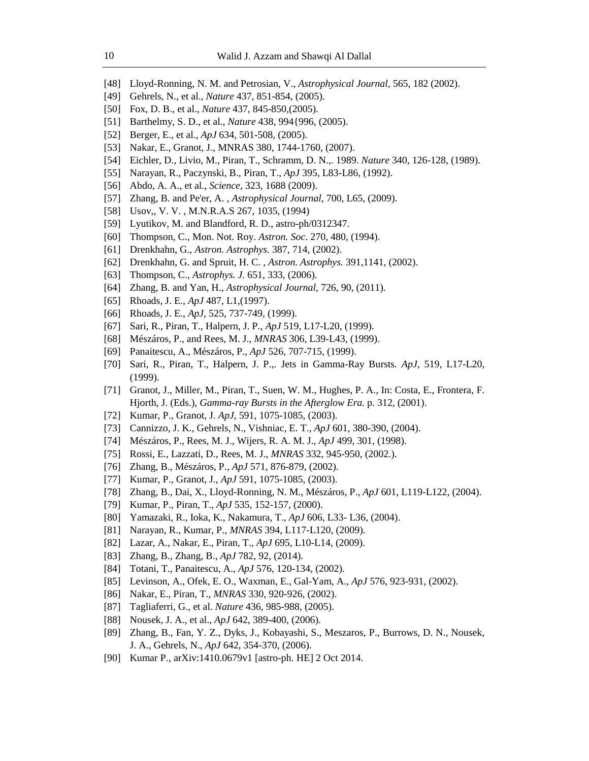- [48] Lloyd-Ronning, N. M. and Petrosian, V., *Astrophysical Journal,* 565, 182 (2002).
- [49] Gehrels, N., et al., *Nature* 437, 851-854, (2005).
- [50] Fox, D. B., et al., *Nature* 437, 845-850,(2005).
- [51] Barthelmy, S. D., et al., *Nature* 438, 994{996, (2005).
- [52] Berger, E., et al., *ApJ* 634, 501-508, (2005).
- [53] Nakar, E., Granot, J., MNRAS 380, 1744-1760, (2007).
- [54] Eichler, D., Livio, M., Piran, T., Schramm, D. N.,. 1989. *Nature* 340, 126-128, (1989).
- [55] Narayan, R., Paczynski, B., Piran, T., *ApJ* 395, L83-L86, (1992).
- [56] Abdo, A. A., et al., *Science,* 323, 1688 (2009).
- [57] Zhang, B. and Pe'er, A. , *Astrophysical Journal,* 700, L65, (2009).
- [58] Usov,, V. V. , M.N.R.A.S 267, 1035, (1994)
- [59] Lyutikov, M. and Blandford, R. D., astro-ph/0312347.
- [60] Thompson, C., Mon. Not. Roy. *Astron. Soc*. 270, 480, (1994).
- [61] Drenkhahn, G., *Astron. Astrophys.* 387, 714, (2002).
- [62] Drenkhahn, G. and Spruit, H. C. , *Astron. Astrophys.* 391,1141, (2002).
- [63] Thompson, C., *Astrophys. J.* 651, 333, (2006).
- [64] Zhang, B. and Yan, H., *Astrophysical Journal,* 726, 90, (2011).
- [65] Rhoads, J. E., *ApJ* 487, L1,(1997).
- [66] Rhoads, J. E., *ApJ,* 525, 737-749, (1999).
- [67] Sari, R., Piran, T., Halpern, J. P., *ApJ* 519, L17-L20, (1999).
- [68] Mészáros, P., and Rees, M. J., *MNRAS* 306, L39-L43, (1999).
- [69] Panaitescu, A., Mészáros, P., *ApJ* 526, 707-715, (1999).
- [70] Sari, R., Piran, T., Halpern, J. P.,. Jets in Gamma-Ray Bursts*. ApJ,* 519, L17-L20, (1999).
- [71] Granot, J., Miller, M., Piran, T., Suen, W. M., Hughes, P. A., In: Costa, E., Frontera, F. Hjorth, J. (Eds.), *Gamma-ray Bursts in the Afterglow Era.* p. 312, (2001).
- [72] Kumar, P., Granot, J. *ApJ,* 591, 1075-1085, (2003).
- [73] Cannizzo, J. K., Gehrels, N., Vishniac, E. T., *ApJ* 601, 380-390, (2004).
- [74] Mészáros, P., Rees, M. J., Wijers, R. A. M. J., *ApJ* 499, 301, (1998).
- [75] Rossi, E., Lazzati, D., Rees, M. J., *MNRAS* 332, 945-950, (2002.).
- [76] Zhang, B., Mészáros, P., *ApJ* 571, 876-879, (2002).
- [77] Kumar, P., Granot, J., *ApJ* 591, 1075-1085, (2003).
- [78] Zhang, B., Dai, X., Lloyd-Ronning, N. M., Mészáros, P., *ApJ* 601, L119-L122, (2004).
- [79] Kumar, P., Piran, T., *ApJ* 535, 152-157, (2000).
- [80] Yamazaki, R., Ioka, K., Nakamura, T., *ApJ* 606, L33- L36, (2004).
- [81] Narayan, R., Kumar, P., *MNRAS* 394, L117-L120, (2009).
- [82] Lazar, A., Nakar, E., Piran, T., *ApJ* 695, L10-L14, (2009).
- [83] Zhang, B., Zhang, B., *ApJ* 782, 92, (2014).
- [84] Totani, T., Panaitescu, A., *ApJ* 576, 120-134, (2002).
- [85] Levinson, A., Ofek, E. O., Waxman, E., Gal-Yam, A., *ApJ* 576, 923-931, (2002).
- [86] Nakar, E., Piran, T., *MNRAS* 330, 920-926, (2002).
- [87] Tagliaferri, G., et al. *Nature* 436, 985-988, (2005).
- [88] Nousek, J. A., et al., *ApJ* 642, 389-400, (2006).
- [89] Zhang, B., Fan, Y. Z., Dyks, J., Kobayashi, S., Meszaros, P., Burrows, D. N., Nousek, J. A., Gehrels, N., *ApJ* 642, 354-370, (2006).
- [90] Kumar P., arXiv:1410.0679v1 [astro-ph. HE] 2 Oct 2014.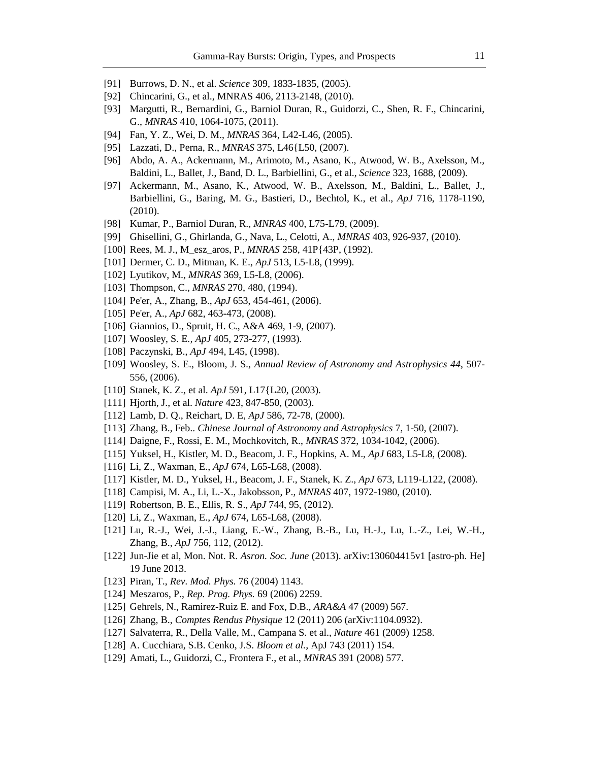- [91] Burrows, D. N., et al. *Science* 309, 1833-1835, (2005).
- [92] Chincarini, G., et al., MNRAS 406, 2113-2148, (2010).
- [93] Margutti, R., Bernardini, G., Barniol Duran, R., Guidorzi, C., Shen, R. F., Chincarini, G., *MNRAS* 410, 1064-1075, (2011).
- [94] Fan, Y. Z., Wei, D. M., *MNRAS* 364, L42-L46, (2005).
- [95] Lazzati, D., Perna, R., *MNRAS* 375, L46{L50, (2007).
- [96] Abdo, A. A., Ackermann, M., Arimoto, M., Asano, K., Atwood, W. B., Axelsson, M., Baldini, L., Ballet, J., Band, D. L., Barbiellini, G., et al., *Science* 323, 1688, (2009).
- [97] Ackermann, M., Asano, K., Atwood, W. B., Axelsson, M., Baldini, L., Ballet, J., Barbiellini, G., Baring, M. G., Bastieri, D., Bechtol, K., et al., *ApJ* 716, 1178-1190, (2010).
- [98] Kumar, P., Barniol Duran, R., *MNRAS* 400, L75-L79, (2009).
- [99] Ghisellini, G., Ghirlanda, G., Nava, L., Celotti, A., *MNRAS* 403, 926-937, (2010).
- [100] Rees, M. J., M\_esz\_aros, P., *MNRAS* 258, 41P{43P, (1992).
- [101] Dermer, C. D., Mitman, K. E., *ApJ* 513, L5-L8, (1999).
- [102] Lyutikov, M., *MNRAS* 369, L5-L8, (2006).
- [103] Thompson, C., *MNRAS* 270, 480, (1994).
- [104] Pe'er, A., Zhang, B., *ApJ* 653, 454-461, (2006).
- [105] Pe'er, A., *ApJ* 682, 463-473, (2008).
- [106] Giannios, D., Spruit, H. C., A&A 469, 1-9, (2007).
- [107] Woosley, S. E*., ApJ* 405, 273-277, (1993).
- [108] Paczynski, B., *ApJ* 494, L45, (1998).
- [109] Woosley, S. E., Bloom, J. S., *Annual Review of Astronomy and Astrophysics 44*, 507- 556, (2006).
- [110] Stanek, K. Z., et al. *ApJ* 591, L17{L20, (2003).
- [111] Hjorth, J., et al. *Nature* 423, 847-850, (2003).
- [112] Lamb, D. Q., Reichart, D. E, *ApJ* 586, 72-78, (2000).
- [113] Zhang, B., Feb.. *Chinese Journal of Astronomy and Astrophysics* 7, 1-50, (2007).
- [114] Daigne, F., Rossi, E. M., Mochkovitch, R., *MNRAS* 372, 1034-1042, (2006).
- [115] Yuksel, H., Kistler, M. D., Beacom, J. F., Hopkins, A. M., *ApJ* 683, L5-L8, (2008).
- [116] Li, Z., Waxman, E., *ApJ* 674, L65-L68, (2008).
- [117] Kistler, M. D., Yuksel, H., Beacom, J. F., Stanek, K. Z., *ApJ* 673, L119-L122, (2008).
- [118] Campisi, M. A., Li, L.-X., Jakobsson, P., *MNRAS* 407, 1972-1980, (2010).
- [119] Robertson, B. E., Ellis, R. S., *ApJ* 744, 95, (2012).
- [120] Li, Z., Waxman, E., *ApJ* 674, L65-L68, (2008).
- [121] Lu, R.-J., Wei, J.-J., Liang, E.-W., Zhang, B.-B., Lu, H.-J., Lu, L.-Z., Lei, W.-H., Zhang, B., *ApJ* 756, 112, (2012).
- [122] Jun-Jie et al, Mon. Not. R. *Asron. Soc. June* (2013). arXiv:130604415v1 [astro-ph. He] 19 June 2013.
- [123] Piran, T., *Rev. Mod. Phys.* 76 (2004) 1143.
- [124] Meszaros, P., *Rep. Prog. Phys.* 69 (2006) 2259.
- [125] Gehrels, N., Ramirez-Ruiz E. and Fox, D.B., *ARA&A* 47 (2009) 567.
- [126] Zhang, B., *Comptes Rendus Physique* 12 (2011) 206 (arXiv:1104.0932).
- [127] Salvaterra, R., Della Valle, M., Campana S. et al., *Nature* 461 (2009) 1258.
- [128] A. Cucchiara, S.B. Cenko, J.S. *Bloom et al.,* ApJ 743 (2011) 154.
- [129] Amati, L., Guidorzi, C., Frontera F., et al., *MNRAS* 391 (2008) 577.